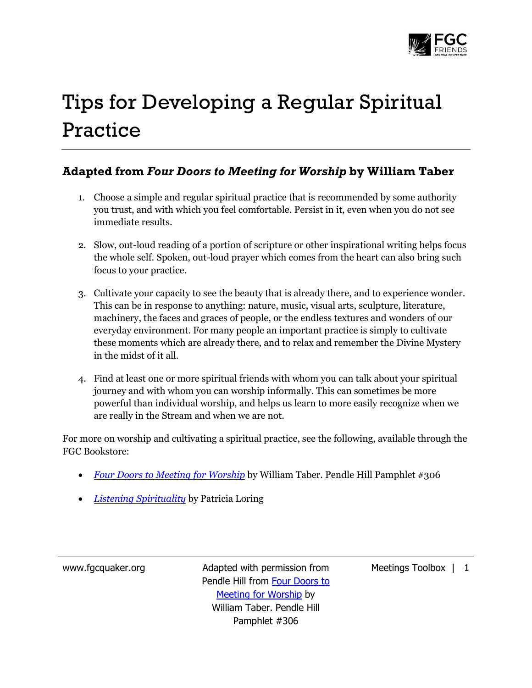

## Tips for Developing a Regular Spiritual Practice

## **Adapted from** *Four Doors to Meeting for Worship* **by William Taber**

- 1. Choose a simple and regular spiritual practice that is recommended by some authority you trust, and with which you feel comfortable. Persist in it, even when you do not see immediate results.
- 2. Slow, out-loud reading of a portion of scripture or other inspirational writing helps focus the whole self. Spoken, out-loud prayer which comes from the heart can also bring such focus to your practice.
- 3. Cultivate your capacity to see the beauty that is already there, and to experience wonder. This can be in response to anything: nature, music, visual arts, sculpture, literature, machinery, the faces and graces of people, or the endless textures and wonders of our everyday environment. For many people an important practice is simply to cultivate these moments which are already there, and to relax and remember the Divine Mystery in the midst of it all.
- 4. Find at least one or more spiritual friends with whom you can talk about your spiritual journey and with whom you can worship informally. This can sometimes be more powerful than individual worship, and helps us learn to more easily recognize when we are really in the Stream and when we are not.

For more on worship and cultivating a spiritual practice, see the following, available through the FGC Bookstore:

- *[Four Doors to Meeting for Worship](http://www.quakerbooks.org/four_doors_to_meeting_for_worship.php)* by William Taber. Pendle Hill Pamphlet #306
- *[Listening Spirituality](http://www.quakerbooks.org/listening_spirituality_volume_1.php)* by Patricia Loring

www.fgcquaker.org Madapted with permission from Pendle Hill from Four Doors to Meeting for Worship by William Taber. Pendle Hill Pamphlet #306

Meetings Toolbox | 1